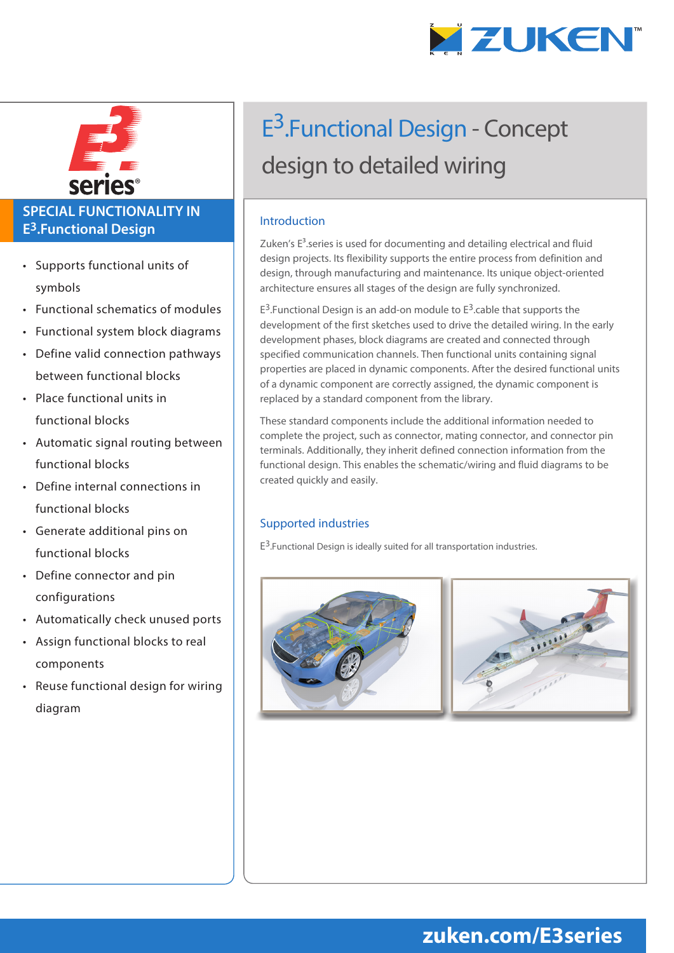



### **SPECIAL FUNCTIONALITY IN E3.Functional Design**

- Supports functional units of symbols
- Functional schematics of modules
- Functional system block diagrams
- Define valid connection pathways between functional blocks
- Place functional units in functional blocks
- Automatic signal routing between functional blocks
- Define internal connections in functional blocks
- Generate additional pins on functional blocks
- Define connector and pin configurations
- Automatically check unused ports
- Assign functional blocks to real components
- Reuse functional design for wiring diagram

# E<sup>3</sup>.Functional Design - Concept design to detailed wiring

### Introduction

Zuken's  $E<sup>3</sup>$ .series is used for documenting and detailing electrical and fluid design projects. Its flexibility supports the entire process from definition and design, through manufacturing and maintenance. Its unique object-oriented architecture ensures all stages of the design are fully synchronized.

 $E^3$ . Functional Design is an add-on module to  $E^3$ . cable that supports the development of the first sketches used to drive the detailed wiring. In the early development phases, block diagrams are created and connected through specified communication channels. Then functional units containing signal properties are placed in dynamic components. After the desired functional units of a dynamic component are correctly assigned, the dynamic component is replaced by a standard component from the library.

These standard components include the additional information needed to complete the project, such as connector, mating connector, and connector pin terminals. Additionally, they inherit defined connection information from the functional design. This enables the schematic/wiring and fluid diagrams to be created quickly and easily.

### Supported industries

 $E^3$ . Functional Design is ideally suited for all transportation industries.



## **zuken.com/E3series**